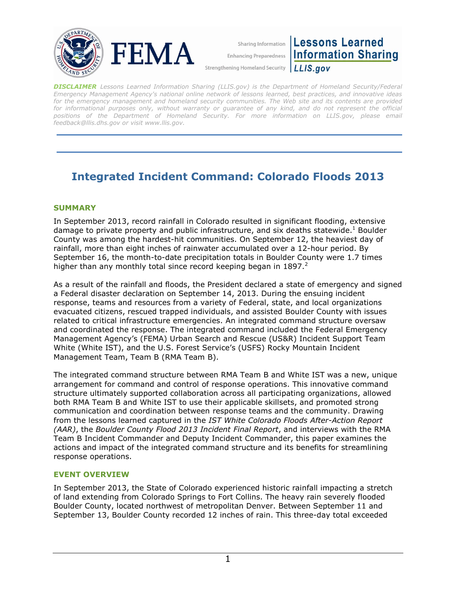

Sharing Information **Enhancing Preparedness** 

**Strengthening Homeland Security** 

**Lessons Learned Information Sharing** LLIS.gov

*DISCLAIMER Lessons Learned Information Sharing (LLIS.gov) is the Department of Homeland Security/Federal Emergency Management Agency's national online network of lessons learned, best practices, and innovative ideas for the emergency management and homeland security communities. The Web site and its contents are provided*  for informational purposes only, without warranty or guarantee of any kind, and do not represent the official positions of the Department of Homeland Security. For more information on LLIS.gov, please email *[feedback@llis.dhs.gov](mailto:feedback@llis.dhs.gov) or visit [www.llis.gov.](https://www.llis.gov/)* 

# **Integrated Incident Command: Colorado Floods 2013**

# **SUMMARY**

In September 2013, record rainfall in Colorado resulted in significant flooding, extensive damage to private property and public infrastructure, and six deaths statewide.<sup>1</sup> Boulder County was among the hardest-hit communities. On September 12, the heaviest day of rainfall, more than eight inches of rainwater accumulated over a 12-hour period. By September 16, the month-to-date precipitation totals in Boulder County were 1.7 times higher than any monthly total since record keeping began in  $1897<sup>2</sup>$ 

As a result of the rainfall and floods, the President declared a state of emergency and signed a Federal disaster declaration on September 14, 2013. During the ensuing incident response, teams and resources from a variety of Federal, state, and local organizations evacuated citizens, rescued trapped individuals, and assisted Boulder County with issues related to critical infrastructure emergencies. An integrated command structure oversaw and coordinated the response. The integrated command included the Federal Emergency Management Agency's (FEMA) Urban Search and Rescue (US&R) Incident Support Team White (White IST), and the U.S. Forest Service's (USFS) Rocky Mountain Incident Management Team, Team B (RMA Team B).

The integrated command structure between RMA Team B and White IST was a new, unique arrangement for command and control of response operations. This innovative command structure ultimately supported collaboration across all participating organizations, allowed both RMA Team B and White IST to use their applicable skillsets, and promoted strong communication and coordination between response teams and the community. Drawing from the lessons learned captured in the *IST White Colorado Floods After-Action Report (AAR)*, the *Boulder County Flood 2013 Incident Final Report*, and interviews with the RMA Team B Incident Commander and Deputy Incident Commander, this paper examines the actions and impact of the integrated command structure and its benefits for streamlining response operations.

## **EVENT OVERVIEW**

In September 2013, the State of Colorado experienced historic rainfall impacting a stretch of land extending from Colorado Springs to Fort Collins. The heavy rain severely flooded Boulder County, located northwest of metropolitan Denver. Between September 11 and September 13, Boulder County recorded 12 inches of rain. This three-day total exceeded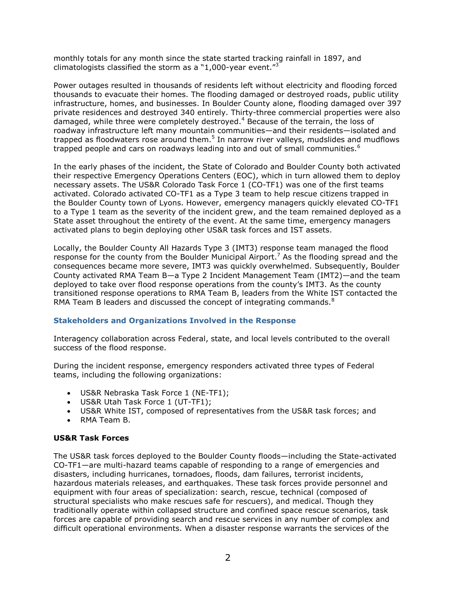monthly totals for any month since the state started tracking rainfall in 1897, and climatologists classified the storm as a "1,000-year event." $3$ 

Power outages resulted in thousands of residents left without electricity and flooding forced thousands to evacuate their homes. The flooding damaged or destroyed roads, public utility infrastructure, homes, and businesses. In Boulder County alone, flooding damaged over 397 private residences and destroyed 340 entirely. Thirty-three commercial properties were also damaged, while three were completely destroyed.<sup>4</sup> Because of the terrain, the loss of roadway infrastructure left many mountain communities—and their residents—isolated and trapped as floodwaters rose around them.<sup>5</sup> In narrow river valleys, mudslides and mudflows trapped people and cars on roadways leading into and out of small communities.<sup>6</sup>

In the early phases of the incident, the State of Colorado and Boulder County both activated their respective Emergency Operations Centers (EOC), which in turn allowed them to deploy necessary assets. The US&R Colorado Task Force 1 (CO-TF1) was one of the first teams activated. Colorado activated CO-TF1 as a Type 3 team to help rescue citizens trapped in the Boulder County town of Lyons. However, emergency managers quickly elevated CO-TF1 to a Type 1 team as the severity of the incident grew, and the team remained deployed as a State asset throughout the entirety of the event. At the same time, emergency managers activated plans to begin deploying other US&R task forces and IST assets.

Locally, the Boulder County All Hazards Type 3 (IMT3) response team managed the flood response for the county from the Boulder Municipal Airport.<sup>7</sup> As the flooding spread and the consequences became more severe, IMT3 was quickly overwhelmed. Subsequently, Boulder County activated RMA Team B—a Type 2 Incident Management Team (IMT2)—and the team deployed to take over flood response operations from the county's IMT3. As the county transitioned response operations to RMA Team B, leaders from the White IST contacted the RMA Team B leaders and discussed the concept of integrating commands. $8$ 

#### **Stakeholders and Organizations Involved in the Response**

Interagency collaboration across Federal, state, and local levels contributed to the overall success of the flood response.

During the incident response, emergency responders activated three types of Federal teams, including the following organizations:

- US&R Nebraska Task Force 1 (NE-TF1);
- US&R Utah Task Force 1 (UT-TF1);
- US&R White IST, composed of representatives from the US&R task forces; and
- RMA Team B.

#### **US&R Task Forces**

The US&R task forces deployed to the Boulder County floods—including the State-activated CO-TF1—are multi-hazard teams capable of responding to a range of emergencies and disasters, including hurricanes, tornadoes, floods, dam failures, terrorist incidents, hazardous materials releases, and earthquakes. These task forces provide personnel and equipment with four areas of specialization: search, rescue, technical (composed of structural specialists who make rescues safe for rescuers), and medical. Though they traditionally operate within collapsed structure and confined space rescue scenarios, task forces are capable of providing search and rescue services in any number of complex and difficult operational environments. When a disaster response warrants the services of the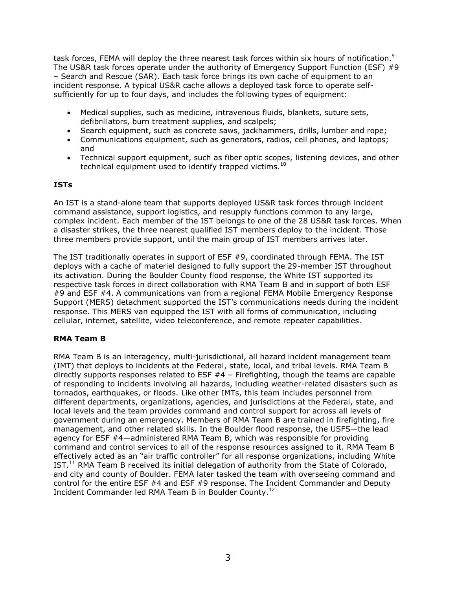task forces, FEMA will deploy the three nearest task forces within six hours of notification.<sup>9</sup> The US&R task forces operate under the authority of Emergency Support Function (ESF) #9 – Search and Rescue (SAR). Each task force brings its own cache of equipment to an incident response. A typical US&R cache allows a deployed task force to operate selfsufficiently for up to four days, and includes the following types of equipment:

- Medical supplies, such as medicine, intravenous fluids, blankets, suture sets, defibrillators, burn treatment supplies, and scalpels;
- Search equipment, such as concrete saws, jackhammers, drills, lumber and rope;
- Communications equipment, such as generators, radios, cell phones, and laptops; and
- Technical support equipment, such as fiber optic scopes, listening devices, and other technical equipment used to identify trapped victims. $^{10}$

# **ISTs**

An IST is a stand-alone team that supports deployed US&R task forces through incident command assistance, support logistics, and resupply functions common to any large, complex incident. Each member of the IST belongs to one of the 28 US&R task forces. When a disaster strikes, the three nearest qualified IST members deploy to the incident. Those three members provide support, until the main group of IST members arrives later.

The IST traditionally operates in support of ESF #9, coordinated through FEMA. The IST deploys with a cache of materiel designed to fully support the 29-member IST throughout its activation. During the Boulder County flood response, the White IST supported its respective task forces in direct collaboration with RMA Team B and in support of both ESF #9 and ESF #4. A communications van from a regional FEMA Mobile Emergency Response Support (MERS) detachment supported the IST's communications needs during the incident response. This MERS van equipped the IST with all forms of communication, including cellular, internet, satellite, video teleconference, and remote repeater capabilities.

## **RMA Team B**

RMA Team B is an interagency, multi-jurisdictional, all hazard incident management team (IMT) that deploys to incidents at the Federal, state, local, and tribal levels. RMA Team B directly supports responses related to ESF #4 – Firefighting, though the teams are capable of responding to incidents involving all hazards, including weather-related disasters such as tornados, earthquakes, or floods. Like other IMTs, this team includes personnel from different departments, organizations, agencies, and jurisdictions at the Federal, state, and local levels and the team provides command and control support for across all levels of government during an emergency. Members of RMA Team B are trained in firefighting, fire management, and other related skills. In the Boulder flood response, the USFS—the lead agency for ESF #4—administered RMA Team B, which was responsible for providing command and control services to all of the response resources assigned to it. RMA Team B effectively acted as an "air traffic controller" for all response organizations, including White IST.<sup>11</sup> RMA Team B received its initial delegation of authority from the State of Colorado, and city and county of Boulder. FEMA later tasked the team with overseeing command and control for the entire ESF #4 and ESF #9 response. The Incident Commander and Deputy Incident Commander led RMA Team B in Boulder County.<sup>12</sup>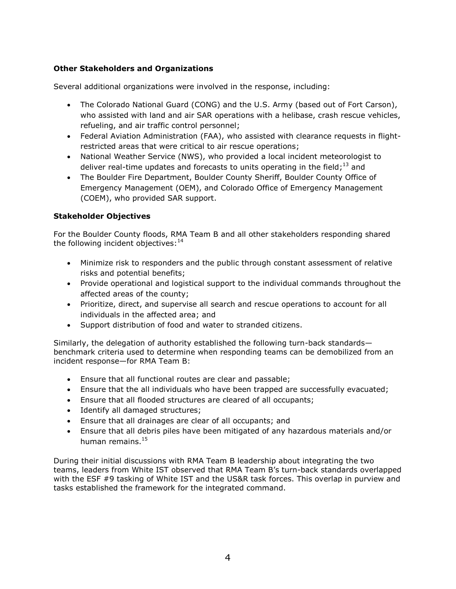# **Other Stakeholders and Organizations**

Several additional organizations were involved in the response, including:

- The Colorado National Guard (CONG) and the U.S. Army (based out of Fort Carson), who assisted with land and air SAR operations with a helibase, crash rescue vehicles, refueling, and air traffic control personnel;
- Federal Aviation Administration (FAA), who assisted with clearance requests in flightrestricted areas that were critical to air rescue operations;
- National Weather Service (NWS), who provided a local incident meteorologist to deliver real-time updates and forecasts to units operating in the field;<sup>13</sup> and
- The Boulder Fire Department, Boulder County Sheriff, Boulder County Office of Emergency Management (OEM), and Colorado Office of Emergency Management (COEM), who provided SAR support.

## **Stakeholder Objectives**

For the Boulder County floods, RMA Team B and all other stakeholders responding shared the following incident objectives: $14$ 

- Minimize risk to responders and the public through constant assessment of relative risks and potential benefits;
- Provide operational and logistical support to the individual commands throughout the affected areas of the county;
- Prioritize, direct, and supervise all search and rescue operations to account for all individuals in the affected area; and
- Support distribution of food and water to stranded citizens.

Similarly, the delegation of authority established the following turn-back standards benchmark criteria used to determine when responding teams can be demobilized from an incident response—for RMA Team B:

- Ensure that all functional routes are clear and passable;
- Ensure that the all individuals who have been trapped are successfully evacuated;
- Ensure that all flooded structures are cleared of all occupants;
- Identify all damaged structures;
- Ensure that all drainages are clear of all occupants; and
- Ensure that all debris piles have been mitigated of any hazardous materials and/or human remains.<sup>15</sup>

During their initial discussions with RMA Team B leadership about integrating the two teams, leaders from White IST observed that RMA Team B's turn-back standards overlapped with the ESF #9 tasking of White IST and the US&R task forces. This overlap in purview and tasks established the framework for the integrated command.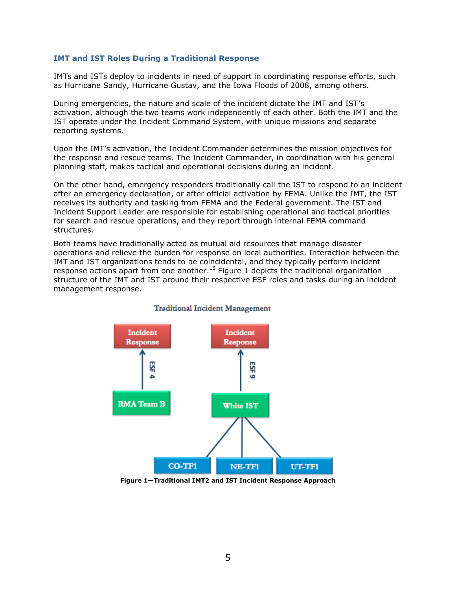#### **IMT and IST Roles During a Traditional Response**

IMTs and ISTs deploy to incidents in need of support in coordinating response efforts, such as Hurricane Sandy, Hurricane Gustav, and the Iowa Floods of 2008, among others.

During emergencies, the nature and scale of the incident dictate the IMT and IST's activation, although the two teams work independently of each other. Both the IMT and the IST operate under the Incident Command System, with unique missions and separate reporting systems.

Upon the IMT's activation, the Incident Commander determines the mission objectives for the response and rescue teams. The Incident Commander, in coordination with his general planning staff, makes tactical and operational decisions during an incident.

On the other hand, emergency responders traditionally call the IST to respond to an incident after an emergency declaration, or after official activation by FEMA. Unlike the IMT, the IST receives its authority and tasking from FEMA and the Federal government. The IST and Incident Support Leader are responsible for establishing operational and tactical priorities for search and rescue operations, and they report through internal FEMA command structures.

Both teams have traditionally acted as mutual aid resources that manage disaster operations and relieve the burden for response on local authorities. Interaction between the IMT and IST organizations tends to be coincidental, and they typically perform incident response actions apart from one another.<sup>16</sup> [Figure 1](#page-4-0) depicts the traditional organization structure of the IMT and IST around their respective ESF roles and tasks during an incident management response.



#### **Traditional Incident Management**

<span id="page-4-0"></span>**Figure 1—Traditional IMT2 and IST Incident Response Approach**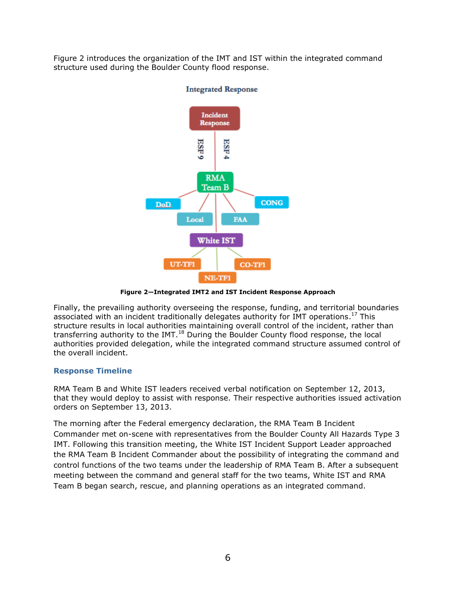[Figure 2](#page-5-0) introduces the organization of the IMT and IST within the integrated command structure used during the Boulder County flood response.



## **Integrated Response**

**Figure 2—Integrated IMT2 and IST Incident Response Approach** 

<span id="page-5-0"></span>Finally, the prevailing authority overseeing the response, funding, and territorial boundaries associated with an incident traditionally delegates authority for IMT operations.<sup>17</sup> This structure results in local authorities maintaining overall control of the incident, rather than transferring authority to the IMT. $^{18}$  During the Boulder County flood response, the local authorities provided delegation, while the integrated command structure assumed control of the overall incident.

## **Response Timeline**

RMA Team B and White IST leaders received verbal notification on September 12, 2013, that they would deploy to assist with response. Their respective authorities issued activation orders on September 13, 2013.

The morning after the Federal emergency declaration, the RMA Team B Incident Commander met on-scene with representatives from the Boulder County All Hazards Type 3 IMT. Following this transition meeting, the White IST Incident Support Leader approached the RMA Team B Incident Commander about the possibility of integrating the command and control functions of the two teams under the leadership of RMA Team B. After a subsequent meeting between the command and general staff for the two teams, White IST and RMA Team B began search, rescue, and planning operations as an integrated command.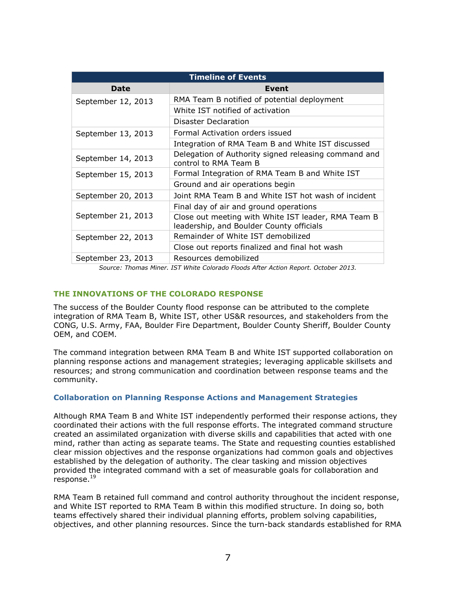| <b>Timeline of Events</b> |                                                                                                 |
|---------------------------|-------------------------------------------------------------------------------------------------|
| Date                      | Event                                                                                           |
| September 12, 2013        | RMA Team B notified of potential deployment                                                     |
|                           | White IST notified of activation                                                                |
|                           | Disaster Declaration                                                                            |
| September 13, 2013        | Formal Activation orders issued                                                                 |
|                           | Integration of RMA Team B and White IST discussed                                               |
| September 14, 2013        | Delegation of Authority signed releasing command and<br>control to RMA Team B                   |
| September 15, 2013        | Formal Integration of RMA Team B and White IST                                                  |
|                           | Ground and air operations begin                                                                 |
| September 20, 2013        | Joint RMA Team B and White IST hot wash of incident                                             |
| September 21, 2013        | Final day of air and ground operations                                                          |
|                           | Close out meeting with White IST leader, RMA Team B<br>leadership, and Boulder County officials |
| September 22, 2013        | Remainder of White IST demobilized                                                              |
|                           | Close out reports finalized and final hot wash                                                  |
| September 23, 2013        | Resources demobilized                                                                           |

*Source: Thomas Miner. IST White Colorado Floods After Action Report. October 2013.* 

#### **THE INNOVATIONS OF THE COLORADO RESPONSE**

The success of the Boulder County flood response can be attributed to the complete integration of RMA Team B, White IST, other US&R resources, and stakeholders from the CONG, U.S. Army, FAA, Boulder Fire Department, Boulder County Sheriff, Boulder County OEM, and COEM.

The command integration between RMA Team B and White IST supported collaboration on planning response actions and management strategies; leveraging applicable skillsets and resources; and strong communication and coordination between response teams and the community.

#### **Collaboration on Planning Response Actions and Management Strategies**

Although RMA Team B and White IST independently performed their response actions, they coordinated their actions with the full response efforts. The integrated command structure created an assimilated organization with diverse skills and capabilities that acted with one mind, rather than acting as separate teams. The State and requesting counties established clear mission objectives and the response organizations had common goals and objectives established by the delegation of authority. The clear tasking and mission objectives provided the integrated command with a set of measurable goals for collaboration and  $response.<sup>19</sup>$ 

RMA Team B retained full command and control authority throughout the incident response, and White IST reported to RMA Team B within this modified structure. In doing so, both teams effectively shared their individual planning efforts, problem solving capabilities, objectives, and other planning resources. Since the turn-back standards established for RMA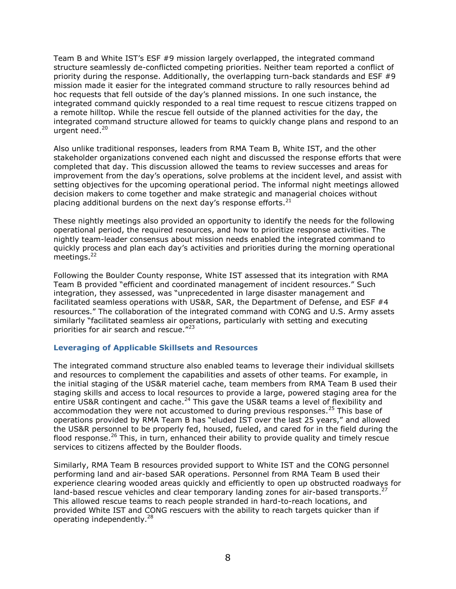Team B and White IST's ESF #9 mission largely overlapped, the integrated command structure seamlessly de-conflicted competing priorities. Neither team reported a conflict of priority during the response. Additionally, the overlapping turn-back standards and ESF #9 mission made it easier for the integrated command structure to rally resources behind ad hoc requests that fell outside of the day's planned missions. In one such instance, the integrated command quickly responded to a real time request to rescue citizens trapped on a remote hilltop. While the rescue fell outside of the planned activities for the day, the integrated command structure allowed for teams to quickly change plans and respond to an urgent need.<sup>20</sup>

Also unlike traditional responses, leaders from RMA Team B, White IST, and the other stakeholder organizations convened each night and discussed the response efforts that were completed that day. This discussion allowed the teams to review successes and areas for improvement from the day's operations, solve problems at the incident level, and assist with setting objectives for the upcoming operational period. The informal night meetings allowed decision makers to come together and make strategic and managerial choices without placing additional burdens on the next day's response efforts.<sup>21</sup>

These nightly meetings also provided an opportunity to identify the needs for the following operational period, the required resources, and how to prioritize response activities. The nightly team-leader consensus about mission needs enabled the integrated command to quickly process and plan each day's activities and priorities during the morning operational meetings.<sup>22</sup>

Following the Boulder County response, White IST assessed that its integration with RMA Team B provided "efficient and coordinated management of incident resources." Such integration, they assessed, was "unprecedented in large disaster management and facilitated seamless operations with US&R, SAR, the Department of Defense, and ESF #4 resources." The collaboration of the integrated command with CONG and U.S. Army assets similarly "facilitated seamless air operations, particularly with setting and executing priorities for air search and rescue.<sup>"23</sup>

#### **Leveraging of Applicable Skillsets and Resources**

The integrated command structure also enabled teams to leverage their individual skillsets and resources to complement the capabilities and assets of other teams. For example, in the initial staging of the US&R materiel cache, team members from RMA Team B used their staging skills and access to local resources to provide a large, powered staging area for the entire US&R contingent and cache.<sup>24</sup> This gave the US&R teams a level of flexibility and accommodation they were not accustomed to during previous responses.<sup>25</sup> This base of operations provided by RMA Team B has "eluded IST over the last 25 years," and allowed the US&R personnel to be properly fed, housed, fueled, and cared for in the field during the flood response.<sup>26</sup> This, in turn, enhanced their ability to provide quality and timely rescue services to citizens affected by the Boulder floods.

Similarly, RMA Team B resources provided support to White IST and the CONG personnel performing land and air-based SAR operations. Personnel from RMA Team B used their experience clearing wooded areas quickly and efficiently to open up obstructed roadways for land-based rescue vehicles and clear temporary landing zones for air-based transports.<sup>27</sup> This allowed rescue teams to reach people stranded in hard-to-reach locations, and provided White IST and CONG rescuers with the ability to reach targets quicker than if operating independently. $^{28}$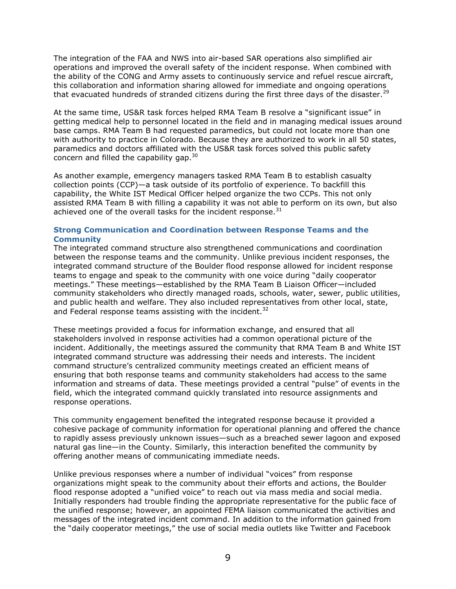The integration of the FAA and NWS into air-based SAR operations also simplified air operations and improved the overall safety of the incident response. When combined with the ability of the CONG and Army assets to continuously service and refuel rescue aircraft, this collaboration and information sharing allowed for immediate and ongoing operations that evacuated hundreds of stranded citizens during the first three days of the disaster.<sup>29</sup>

At the same time, US&R task forces helped RMA Team B resolve a "significant issue" in getting medical help to personnel located in the field and in managing medical issues around base camps. RMA Team B had requested paramedics, but could not locate more than one with authority to practice in Colorado. Because they are authorized to work in all 50 states, paramedics and doctors affiliated with the US&R task forces solved this public safety concern and filled the capability gap. $30<sub>1</sub>$ 

As another example, emergency managers tasked RMA Team B to establish casualty collection points (CCP)—a task outside of its portfolio of experience. To backfill this capability, the White IST Medical Officer helped organize the two CCPs. This not only assisted RMA Team B with filling a capability it was not able to perform on its own, but also achieved one of the overall tasks for the incident response.<sup>31</sup>

### **Strong Communication and Coordination between Response Teams and the Community**

The integrated command structure also strengthened communications and coordination between the response teams and the community. Unlike previous incident responses, the integrated command structure of the Boulder flood response allowed for incident response teams to engage and speak to the community with one voice during "daily cooperator meetings." These meetings—established by the RMA Team B Liaison Officer—included community stakeholders who directly managed roads, schools, water, sewer, public utilities, and public health and welfare. They also included representatives from other local, state, and Federal response teams assisting with the incident.<sup>32</sup>

These meetings provided a focus for information exchange, and ensured that all stakeholders involved in response activities had a common operational picture of the incident. Additionally, the meetings assured the community that RMA Team B and White IST integrated command structure was addressing their needs and interests. The incident command structure's centralized community meetings created an efficient means of ensuring that both response teams and community stakeholders had access to the same information and streams of data. These meetings provided a central "pulse" of events in the field, which the integrated command quickly translated into resource assignments and response operations.

This community engagement benefited the integrated response because it provided a cohesive package of community information for operational planning and offered the chance to rapidly assess previously unknown issues—such as a breached sewer lagoon and exposed natural gas line—in the County. Similarly, this interaction benefited the community by offering another means of communicating immediate needs.

Unlike previous responses where a number of individual "voices" from response organizations might speak to the community about their efforts and actions, the Boulder flood response adopted a "unified voice" to reach out via mass media and social media. Initially responders had trouble finding the appropriate representative for the public face of the unified response; however, an appointed FEMA liaison communicated the activities and messages of the integrated incident command. In addition to the information gained from the "daily cooperator meetings," the use of social media outlets like Twitter and Facebook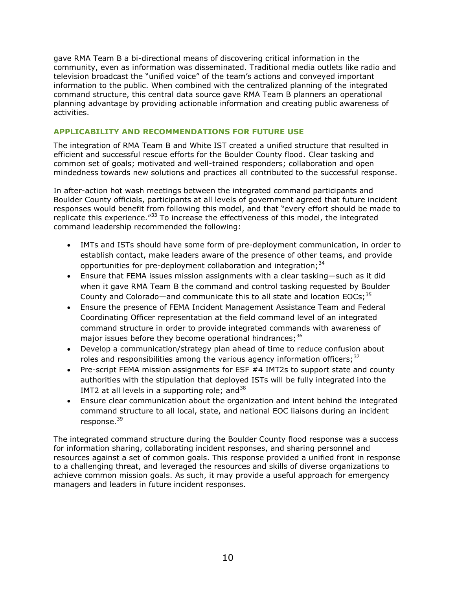gave RMA Team B a bi-directional means of discovering critical information in the community, even as information was disseminated. Traditional media outlets like radio and television broadcast the "unified voice" of the team's actions and conveyed important information to the public. When combined with the centralized planning of the integrated command structure, this central data source gave RMA Team B planners an operational planning advantage by providing actionable information and creating public awareness of activities.

## **APPLICABILITY AND RECOMMENDATIONS FOR FUTURE USE**

The integration of RMA Team B and White IST created a unified structure that resulted in efficient and successful rescue efforts for the Boulder County flood. Clear tasking and common set of goals; motivated and well-trained responders; collaboration and open mindedness towards new solutions and practices all contributed to the successful response.

In after-action hot wash meetings between the integrated command participants and Boulder County officials, participants at all levels of government agreed that future incident responses would benefit from following this model, and that "every effort should be made to replicate this experience.<sup>"33</sup> To increase the effectiveness of this model, the integrated command leadership recommended the following:

- IMTs and ISTs should have some form of pre-deployment communication, in order to establish contact, make leaders aware of the presence of other teams, and provide opportunities for pre-deployment collaboration and integration;<sup>34</sup>
- Ensure that FEMA issues mission assignments with a clear tasking—such as it did when it gave RMA Team B the command and control tasking requested by Boulder County and Colorado—and communicate this to all state and location EOCs;  $35$
- Ensure the presence of FEMA Incident Management Assistance Team and Federal Coordinating Officer representation at the field command level of an integrated command structure in order to provide integrated commands with awareness of major issues before they become operational hindrances;  $36$
- Develop a communication/strategy plan ahead of time to reduce confusion about roles and responsibilities among the various agency information officers;  $3^7$
- Pre-script FEMA mission assignments for ESF #4 IMT2s to support state and county authorities with the stipulation that deployed ISTs will be fully integrated into the IMT2 at all levels in a supporting role; and  $38$
- Ensure clear communication about the organization and intent behind the integrated command structure to all local, state, and national EOC liaisons during an incident response.<sup>39</sup>

The integrated command structure during the Boulder County flood response was a success for information sharing, collaborating incident responses, and sharing personnel and resources against a set of common goals. This response provided a unified front in response to a challenging threat, and leveraged the resources and skills of diverse organizations to achieve common mission goals. As such, it may provide a useful approach for emergency managers and leaders in future incident responses.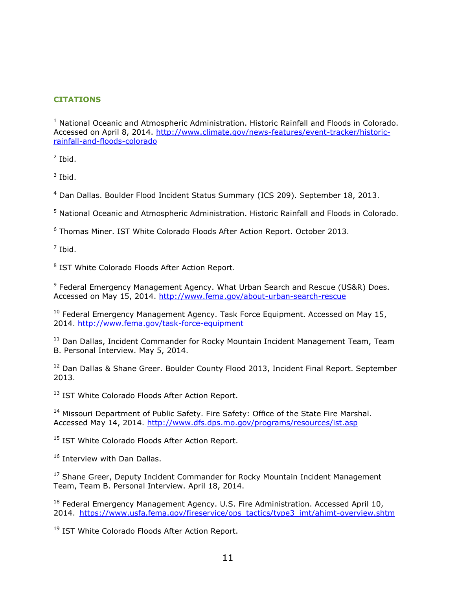## **CITATIONS**

 $<sup>2</sup>$  Ibid.</sup>

 $\overline{a}$ 

 $3$  Ibid.

4 Dan Dallas. Boulder Flood Incident Status Summary (ICS 209). September 18, 2013.

<sup>5</sup> National Oceanic and Atmospheric Administration. Historic Rainfall and Floods in Colorado.

6 Thomas Miner. IST White Colorado Floods After Action Report. October 2013.

 $^7$  Ibid.

<sup>8</sup> IST White Colorado Floods After Action Report.

<sup>9</sup> Federal Emergency Management Agency. What Urban Search and Rescue (US&R) Does. Accessed on May 15, 2014.<http://www.fema.gov/about-urban-search-rescue>

 $10$  Federal Emergency Management Agency. Task Force Equipment. Accessed on May 15, 2014.<http://www.fema.gov/task-force-equipment>

<sup>11</sup> Dan Dallas, Incident Commander for Rocky Mountain Incident Management Team, Team B. Personal Interview. May 5, 2014.

<sup>12</sup> Dan Dallas & Shane Greer. Boulder County Flood 2013, Incident Final Report. September 2013.

<sup>13</sup> IST White Colorado Floods After Action Report.

<sup>14</sup> Missouri Department of Public Safety. Fire Safety: Office of the State Fire Marshal. Accessed May 14, 2014.<http://www.dfs.dps.mo.gov/programs/resources/ist.asp>

<sup>15</sup> IST White Colorado Floods After Action Report.

<sup>16</sup> Interview with Dan Dallas.

<sup>17</sup> Shane Greer, Deputy Incident Commander for Rocky Mountain Incident Management Team, Team B. Personal Interview. April 18, 2014.

<sup>18</sup> Federal Emergency Management Agency. U.S. Fire Administration. Accessed April 10, 2014. [https://www.usfa.fema.gov/fireservice/ops\\_tactics/type3\\_imt/ahimt-overview.shtm](https://www.usfa.fema.gov/fireservice/ops_tactics/type3_imt/ahimt-overview.shtm)

<sup>19</sup> IST White Colorado Floods After Action Report.

<sup>&</sup>lt;sup>1</sup> National Oceanic and Atmospheric Administration. Historic Rainfall and Floods in Colorado. Accessed on April 8, 2014. [http://www.climate.gov/news-features/event-tracker/historic](http://www.climate.gov/news-features/event-tracker/historic-rainfall-and-floods-colorado)[rainfall-and-floods-colorado](http://www.climate.gov/news-features/event-tracker/historic-rainfall-and-floods-colorado)